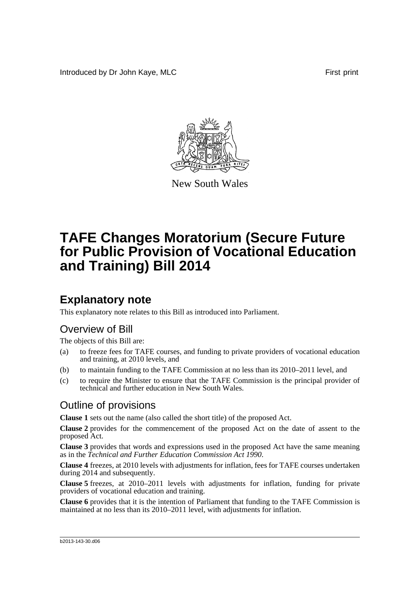Introduced by Dr John Kaye, MLC **First print First print** 



New South Wales

# **TAFE Changes Moratorium (Secure Future for Public Provision of Vocational Education and Training) Bill 2014**

## **Explanatory note**

This explanatory note relates to this Bill as introduced into Parliament.

#### Overview of Bill

The objects of this Bill are:

- (a) to freeze fees for TAFE courses, and funding to private providers of vocational education and training, at 2010 levels, and
- (b) to maintain funding to the TAFE Commission at no less than its 2010–2011 level, and
- (c) to require the Minister to ensure that the TAFE Commission is the principal provider of technical and further education in New South Wales.

#### Outline of provisions

**Clause 1** sets out the name (also called the short title) of the proposed Act.

**Clause 2** provides for the commencement of the proposed Act on the date of assent to the proposed Act.

**Clause 3** provides that words and expressions used in the proposed Act have the same meaning as in the *Technical and Further Education Commission Act 1990*.

**Clause 4** freezes, at 2010 levels with adjustments for inflation, fees for TAFE courses undertaken during 2014 and subsequently.

**Clause 5** freezes, at 2010–2011 levels with adjustments for inflation, funding for private providers of vocational education and training.

**Clause 6** provides that it is the intention of Parliament that funding to the TAFE Commission is maintained at no less than its 2010–2011 level, with adjustments for inflation.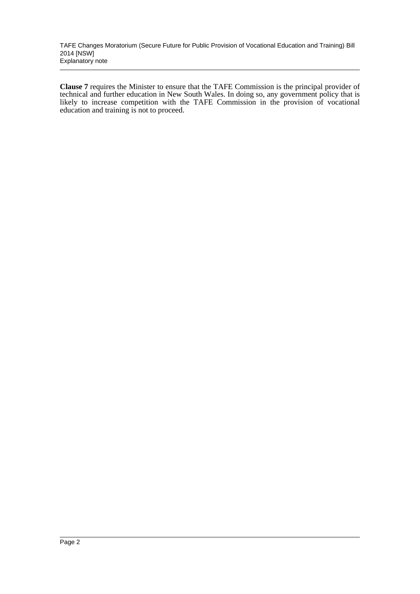TAFE Changes Moratorium (Secure Future for Public Provision of Vocational Education and Training) Bill 2014 [NSW] Explanatory note

**Clause 7** requires the Minister to ensure that the TAFE Commission is the principal provider of technical and further education in New South Wales. In doing so, any government policy that is likely to increase competition with the TAFE Commission in the provision of vocational education and training is not to proceed.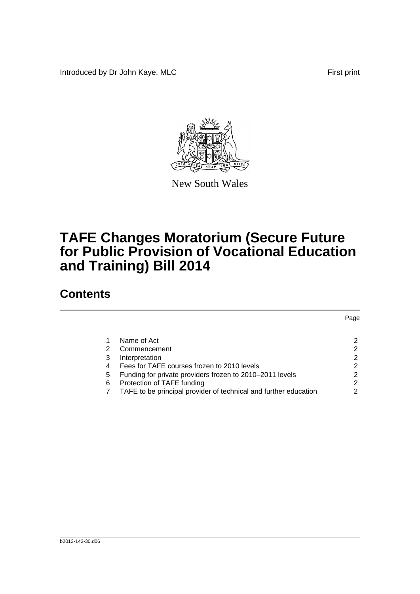Introduced by Dr John Kaye, MLC First print



New South Wales

# **TAFE Changes Moratorium (Secure Future for Public Provision of Vocational Education and Training) Bill 2014**

## **Contents**

|   |                                                                  | Page          |
|---|------------------------------------------------------------------|---------------|
|   |                                                                  |               |
|   | Name of Act                                                      | 2             |
| 2 | Commencement                                                     | 2             |
| 3 | Interpretation                                                   | 2             |
| 4 | Fees for TAFE courses frozen to 2010 levels                      | $\mathcal{P}$ |
| 5 | Funding for private providers frozen to 2010–2011 levels         | 2             |
| 6 | Protection of TAFE funding                                       | 2             |
|   | TAFE to be principal provider of technical and further education | 2             |
|   |                                                                  |               |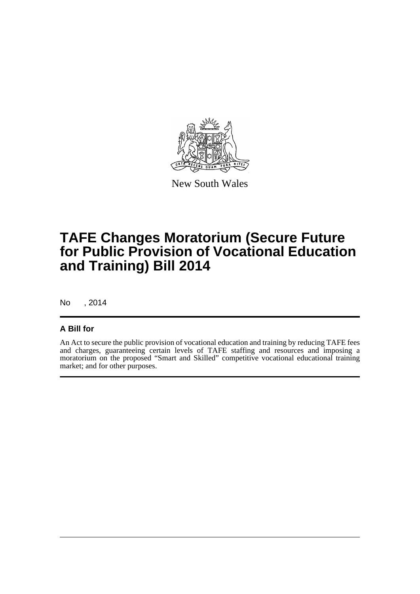

New South Wales

# **TAFE Changes Moratorium (Secure Future for Public Provision of Vocational Education and Training) Bill 2014**

No , 2014

#### **A Bill for**

An Act to secure the public provision of vocational education and training by reducing TAFE fees and charges, guaranteeing certain levels of TAFE staffing and resources and imposing a moratorium on the proposed "Smart and Skilled" competitive vocational educational training market; and for other purposes.